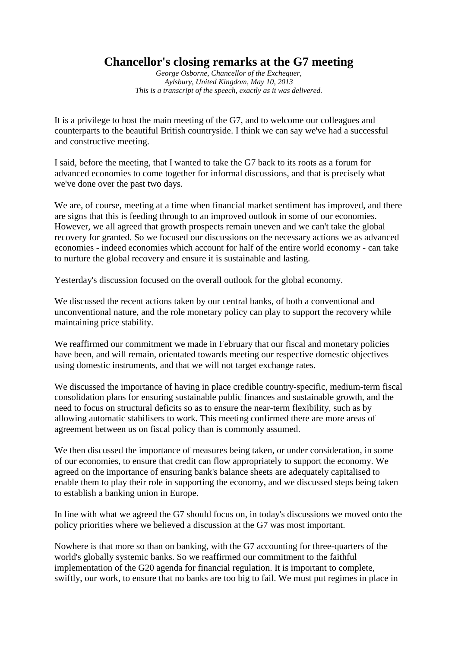## **Chancellor's closing remarks at the G7 meeting**

*George Osborne, Chancellor of the Exchequer, Aylsbury, United Kingdom, May 10, 2013 This is a transcript of the speech, exactly as it was delivered.*

It is a privilege to host the main meeting of the G7, and to welcome our colleagues and counterparts to the beautiful British countryside. I think we can say we've had a successful and constructive meeting.

I said, before the meeting, that I wanted to take the G7 back to its roots as a forum for advanced economies to come together for informal discussions, and that is precisely what we've done over the past two days.

We are, of course, meeting at a time when financial market sentiment has improved, and there are signs that this is feeding through to an improved outlook in some of our economies. However, we all agreed that growth prospects remain uneven and we can't take the global recovery for granted. So we focused our discussions on the necessary actions we as advanced economies - indeed economies which account for half of the entire world economy - can take to nurture the global recovery and ensure it is sustainable and lasting.

Yesterday's discussion focused on the overall outlook for the global economy.

We discussed the recent actions taken by our central banks, of both a conventional and unconventional nature, and the role monetary policy can play to support the recovery while maintaining price stability.

We reaffirmed our commitment we made in February that our fiscal and monetary policies have been, and will remain, orientated towards meeting our respective domestic objectives using domestic instruments, and that we will not target exchange rates.

We discussed the importance of having in place credible country-specific, medium-term fiscal consolidation plans for ensuring sustainable public finances and sustainable growth, and the need to focus on structural deficits so as to ensure the near-term flexibility, such as by allowing automatic stabilisers to work. This meeting confirmed there are more areas of agreement between us on fiscal policy than is commonly assumed.

We then discussed the importance of measures being taken, or under consideration, in some of our economies, to ensure that credit can flow appropriately to support the economy. We agreed on the importance of ensuring bank's balance sheets are adequately capitalised to enable them to play their role in supporting the economy, and we discussed steps being taken to establish a banking union in Europe.

In line with what we agreed the G7 should focus on, in today's discussions we moved onto the policy priorities where we believed a discussion at the G7 was most important.

Nowhere is that more so than on banking, with the G7 accounting for three-quarters of the world's globally systemic banks. So we reaffirmed our commitment to the faithful implementation of the G20 agenda for financial regulation. It is important to complete, swiftly, our work, to ensure that no banks are too big to fail. We must put regimes in place in